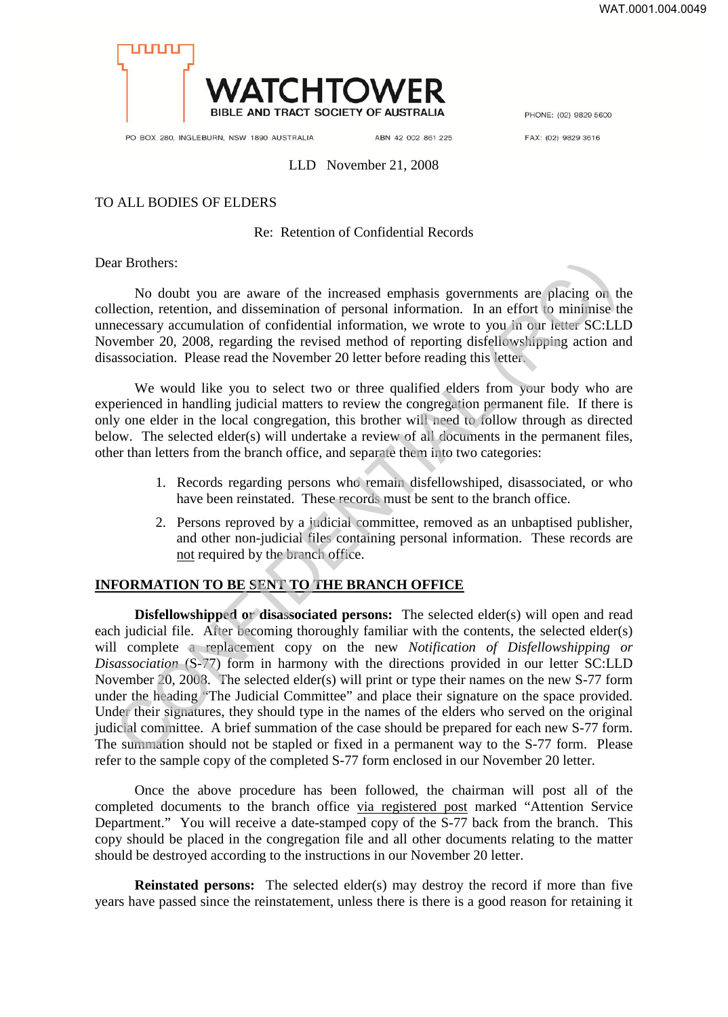

PHONE: (02) 9829 5600

PO BOX 280, INGLEBURN, NSW 1890 AUSTRALIA

ABN 42 002 861 225

FAX: (02) 9829 3616

#### LLD November 21, 2008

# TO ALL BODIES OF ELDERS

### Re: Retention of Confidential Records

Dear Brothers:

No doubt you are aware of the increased emphasis governments are placing on the collection, retention, and dissemination of personal information. In an effort to minimise the unnecessary accumulation of confidential information, we wrote to you in our letter SC:LLD November 20, 2008, regarding the revised method of reporting disfellowshipping action and disassociation. Please read the November 20 letter before reading this letter.

We would like you to select two or three qualified elders from your body who are experienced in handling judicial matters to review the congregation permanent file. If there is only one elder in the local congregation, this brother will need to follow through as directed below. The selected elder(s) will undertake a review of all documents in the permanent files, other than letters from the branch office, and separate them into two categories:

- 1. Records regarding persons who remain disfellowshiped, disassociated, or who have been reinstated. These records must be sent to the branch office.
- 2. Persons reproved by a judicial committee, removed as an unbaptised publisher, and other non-judicial files containing personal information. These records are not required by the branch office.

## **INFORMATION TO BE SENT TO THE BRANCH OFFICE**

**Disfellowshipped or disassociated persons:** The selected elder(s) will open and read each judicial file. After becoming thoroughly familiar with the contents, the selected elder(s) will complete a replacement copy on the new *Notification of Disfellowshipping or Disassociation* (S-77) form in harmony with the directions provided in our letter SC:LLD November 20, 2008. The selected elder(s) will print or type their names on the new S-77 form under the heading "The Judicial Committee" and place their signature on the space provided. Under their signatures, they should type in the names of the elders who served on the original judicial committee. A brief summation of the case should be prepared for each new S-77 form. The summation should not be stapled or fixed in a permanent way to the S-77 form. Please refer to the sample copy of the completed S-77 form enclosed in our November 20 letter. In Brothers:<br>
No doubt you are aware of the increased emphasis governments are placing on the<br>
lection, retention, and dissemination of personal information. In an effort to minimise the<br>
lection, retention, and dissemina

Once the above procedure has been followed, the chairman will post all of the completed documents to the branch office via registered post marked "Attention Service Department." You will receive a date-stamped copy of the S-77 back from the branch. This copy should be placed in the congregation file and all other documents relating to the matter should be destroyed according to the instructions in our November 20 letter.

**Reinstated persons:** The selected elder(s) may destroy the record if more than five years have passed since the reinstatement, unless there is there is a good reason for retaining it